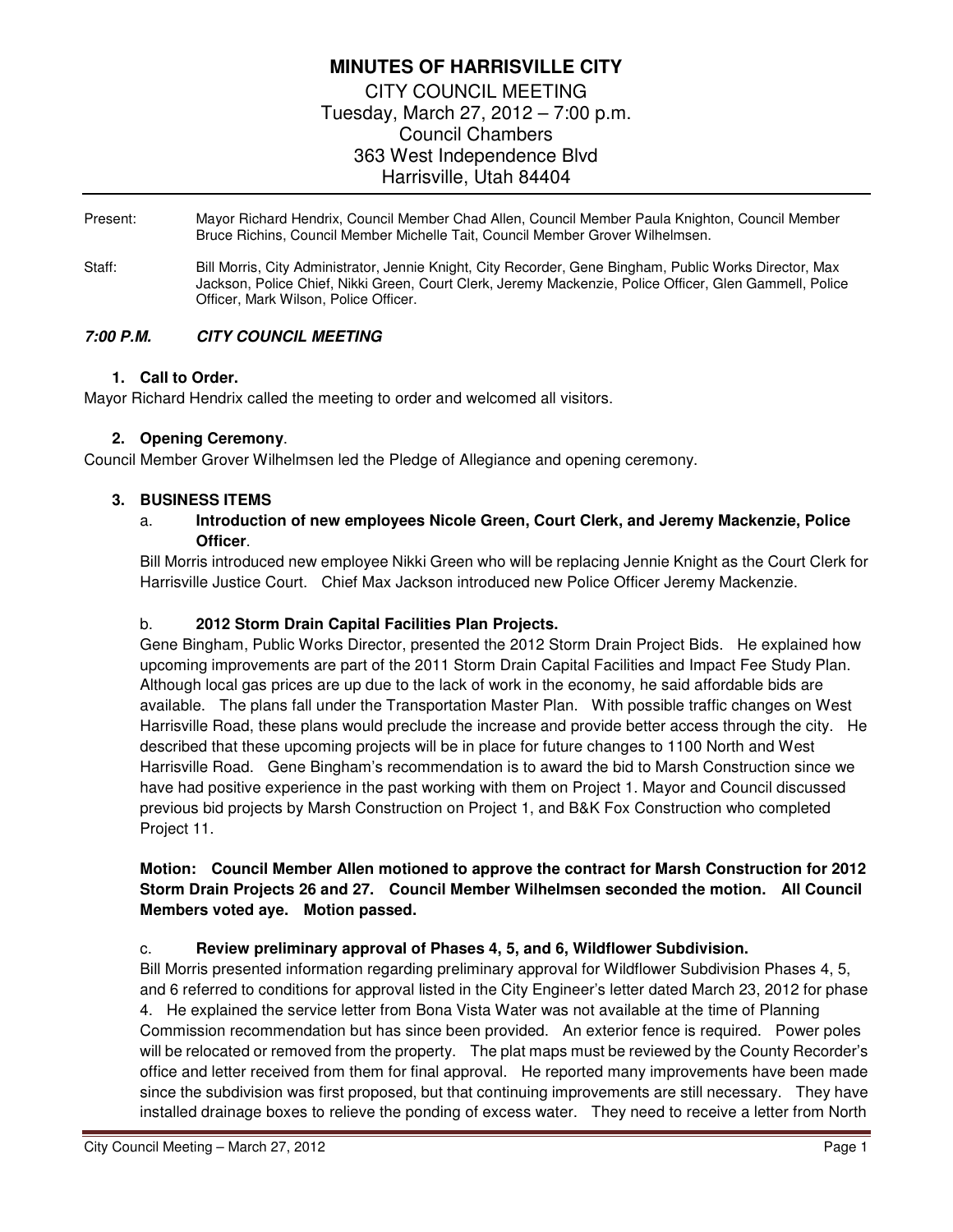# **MINUTES OF HARRISVILLE CITY**  CITY COUNCIL MEETING Tuesday, March 27, 2012 – 7:00 p.m. Council Chambers 363 West Independence Blvd Harrisville, Utah 84404

Present: Mayor Richard Hendrix, Council Member Chad Allen, Council Member Paula Knighton, Council Member Bruce Richins, Council Member Michelle Tait, Council Member Grover Wilhelmsen.

Staff: Bill Morris, City Administrator, Jennie Knight, City Recorder, Gene Bingham, Public Works Director, Max Jackson, Police Chief, Nikki Green, Court Clerk, Jeremy Mackenzie, Police Officer, Glen Gammell, Police Officer, Mark Wilson, Police Officer.

### **7:00 P.M. CITY COUNCIL MEETING**

#### **1. Call to Order.**

Mayor Richard Hendrix called the meeting to order and welcomed all visitors.

#### **2. Opening Ceremony**.

Council Member Grover Wilhelmsen led the Pledge of Allegiance and opening ceremony.

#### **3. BUSINESS ITEMS**

### a. **Introduction of new employees Nicole Green, Court Clerk, and Jeremy Mackenzie, Police Officer**.

Bill Morris introduced new employee Nikki Green who will be replacing Jennie Knight as the Court Clerk for Harrisville Justice Court. Chief Max Jackson introduced new Police Officer Jeremy Mackenzie.

#### b. **2012 Storm Drain Capital Facilities Plan Projects.**

Gene Bingham, Public Works Director, presented the 2012 Storm Drain Project Bids. He explained how upcoming improvements are part of the 2011 Storm Drain Capital Facilities and Impact Fee Study Plan. Although local gas prices are up due to the lack of work in the economy, he said affordable bids are available. The plans fall under the Transportation Master Plan. With possible traffic changes on West Harrisville Road, these plans would preclude the increase and provide better access through the city. He described that these upcoming projects will be in place for future changes to 1100 North and West Harrisville Road. Gene Bingham's recommendation is to award the bid to Marsh Construction since we have had positive experience in the past working with them on Project 1. Mayor and Council discussed previous bid projects by Marsh Construction on Project 1, and B&K Fox Construction who completed Project 11.

### **Motion: Council Member Allen motioned to approve the contract for Marsh Construction for 2012 Storm Drain Projects 26 and 27. Council Member Wilhelmsen seconded the motion. All Council Members voted aye. Motion passed.**

### c. **Review preliminary approval of Phases 4, 5, and 6, Wildflower Subdivision.**

Bill Morris presented information regarding preliminary approval for Wildflower Subdivision Phases 4, 5, and 6 referred to conditions for approval listed in the City Engineer's letter dated March 23, 2012 for phase 4. He explained the service letter from Bona Vista Water was not available at the time of Planning Commission recommendation but has since been provided. An exterior fence is required. Power poles will be relocated or removed from the property. The plat maps must be reviewed by the County Recorder's office and letter received from them for final approval. He reported many improvements have been made since the subdivision was first proposed, but that continuing improvements are still necessary. They have installed drainage boxes to relieve the ponding of excess water. They need to receive a letter from North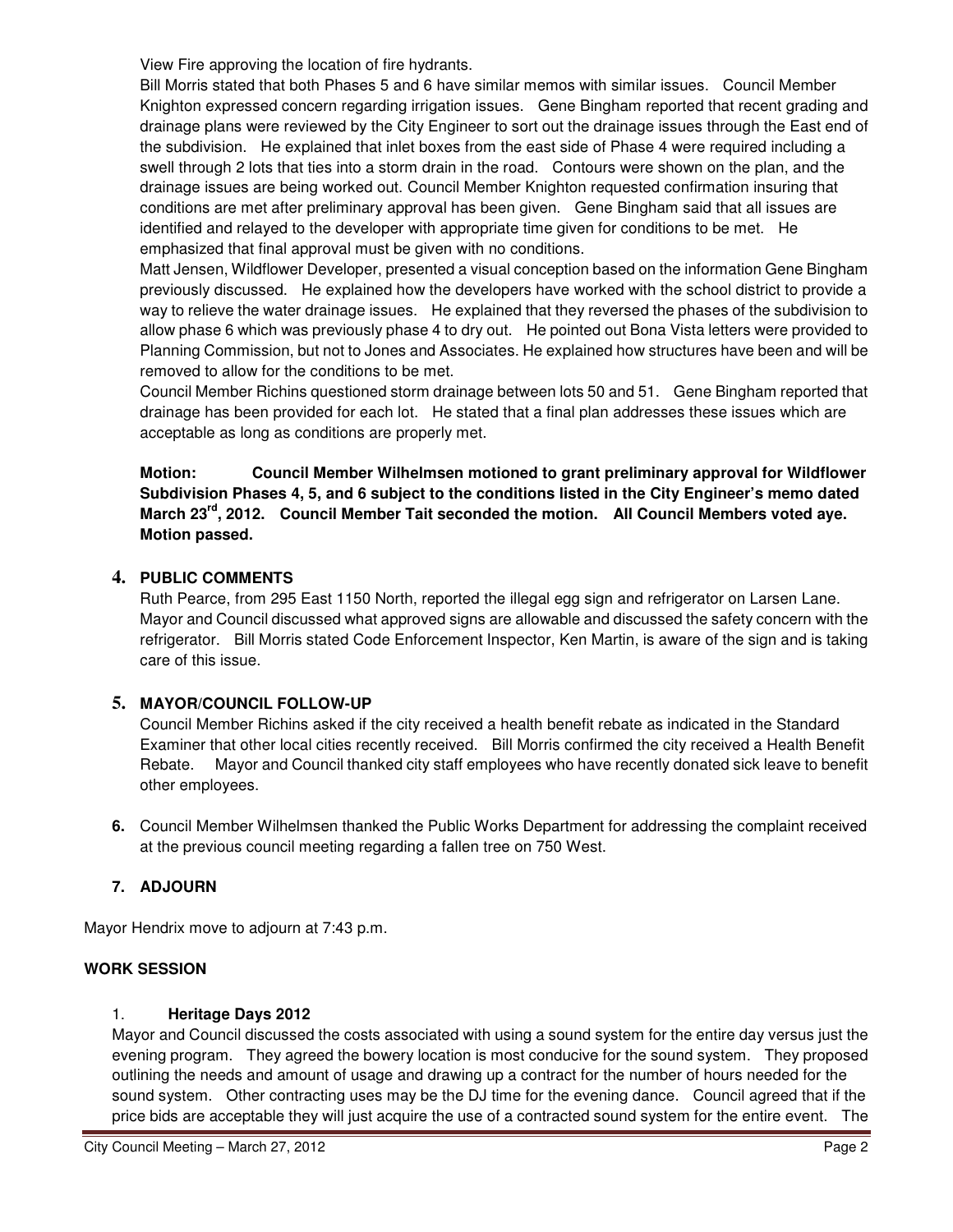View Fire approving the location of fire hydrants.

Bill Morris stated that both Phases 5 and 6 have similar memos with similar issues. Council Member Knighton expressed concern regarding irrigation issues. Gene Bingham reported that recent grading and drainage plans were reviewed by the City Engineer to sort out the drainage issues through the East end of the subdivision. He explained that inlet boxes from the east side of Phase 4 were required including a swell through 2 lots that ties into a storm drain in the road. Contours were shown on the plan, and the drainage issues are being worked out. Council Member Knighton requested confirmation insuring that conditions are met after preliminary approval has been given. Gene Bingham said that all issues are identified and relayed to the developer with appropriate time given for conditions to be met. He emphasized that final approval must be given with no conditions.

Matt Jensen, Wildflower Developer, presented a visual conception based on the information Gene Bingham previously discussed. He explained how the developers have worked with the school district to provide a way to relieve the water drainage issues. He explained that they reversed the phases of the subdivision to allow phase 6 which was previously phase 4 to dry out. He pointed out Bona Vista letters were provided to Planning Commission, but not to Jones and Associates. He explained how structures have been and will be removed to allow for the conditions to be met.

Council Member Richins questioned storm drainage between lots 50 and 51. Gene Bingham reported that drainage has been provided for each lot. He stated that a final plan addresses these issues which are acceptable as long as conditions are properly met.

**Motion: Council Member Wilhelmsen motioned to grant preliminary approval for Wildflower Subdivision Phases 4, 5, and 6 subject to the conditions listed in the City Engineer's memo dated March 23rd, 2012. Council Member Tait seconded the motion. All Council Members voted aye. Motion passed.** 

# **4. PUBLIC COMMENTS**

Ruth Pearce, from 295 East 1150 North, reported the illegal egg sign and refrigerator on Larsen Lane. Mayor and Council discussed what approved signs are allowable and discussed the safety concern with the refrigerator. Bill Morris stated Code Enforcement Inspector, Ken Martin, is aware of the sign and is taking care of this issue.

# **5. MAYOR/COUNCIL FOLLOW-UP**

Council Member Richins asked if the city received a health benefit rebate as indicated in the Standard Examiner that other local cities recently received. Bill Morris confirmed the city received a Health Benefit Rebate. Mayor and Council thanked city staff employees who have recently donated sick leave to benefit other employees.

**6.** Council Member Wilhelmsen thanked the Public Works Department for addressing the complaint received at the previous council meeting regarding a fallen tree on 750 West.

# **7. ADJOURN**

Mayor Hendrix move to adjourn at 7:43 p.m.

# **WORK SESSION**

### 1. **Heritage Days 2012**

Mayor and Council discussed the costs associated with using a sound system for the entire day versus just the evening program. They agreed the bowery location is most conducive for the sound system. They proposed outlining the needs and amount of usage and drawing up a contract for the number of hours needed for the sound system. Other contracting uses may be the DJ time for the evening dance. Council agreed that if the price bids are acceptable they will just acquire the use of a contracted sound system for the entire event. The